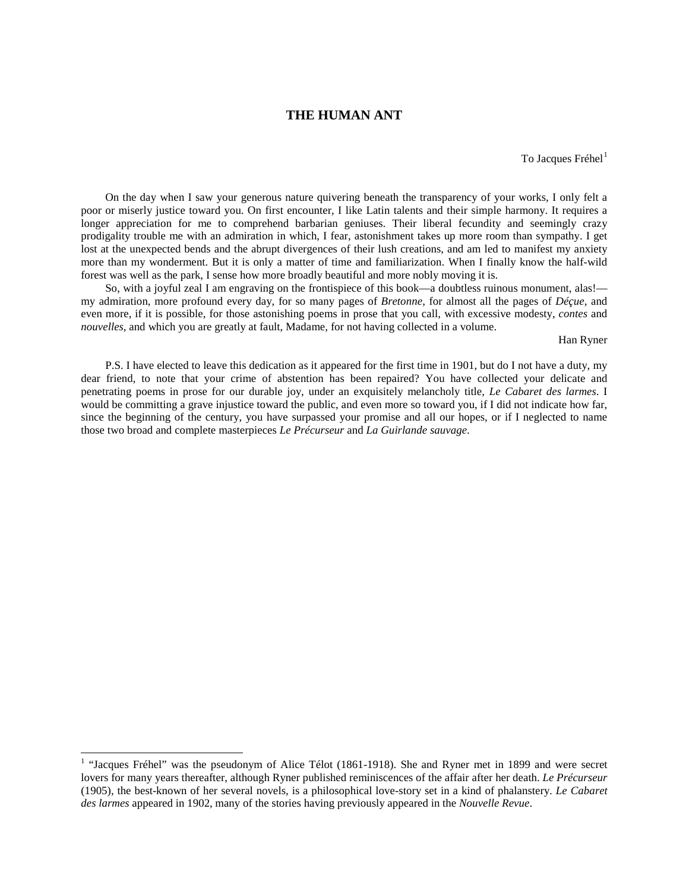## **THE HUMAN ANT**

To Jacques Fréhel<sup>[1](#page-0-0)</sup>

On the day when I saw your generous nature quivering beneath the transparency of your works, I only felt a poor or miserly justice toward you. On first encounter, I like Latin talents and their simple harmony. It requires a longer appreciation for me to comprehend barbarian geniuses. Their liberal fecundity and seemingly crazy prodigality trouble me with an admiration in which, I fear, astonishment takes up more room than sympathy. I get lost at the unexpected bends and the abrupt divergences of their lush creations, and am led to manifest my anxiety more than my wonderment. But it is only a matter of time and familiarization. When I finally know the half-wild forest was well as the park, I sense how more broadly beautiful and more nobly moving it is.

So, with a joyful zeal I am engraving on the frontispiece of this book—a doubtless ruinous monument, alas! my admiration, more profound every day, for so many pages of *Bretonne*, for almost all the pages of *Déçue*, and even more, if it is possible, for those astonishing poems in prose that you call, with excessive modesty, *contes* and *nouvelles*, and which you are greatly at fault, Madame, for not having collected in a volume.

Han Ryner

P.S. I have elected to leave this dedication as it appeared for the first time in 1901, but do I not have a duty, my dear friend, to note that your crime of abstention has been repaired? You have collected your delicate and penetrating poems in prose for our durable joy, under an exquisitely melancholy title, *Le Cabaret des larmes*. I would be committing a grave injustice toward the public, and even more so toward you, if I did not indicate how far, since the beginning of the century, you have surpassed your promise and all our hopes, or if I neglected to name those two broad and complete masterpieces *Le Précurseur* and *La Guirlande sauvage*.

<span id="page-0-0"></span><sup>&</sup>lt;sup>1</sup> "Jacques Fréhel" was the pseudonym of Alice Télot (1861-1918). She and Ryner met in 1899 and were secret lovers for many years thereafter, although Ryner published reminiscences of the affair after her death. *Le Précurseur* (1905), the best-known of her several novels, is a philosophical love-story set in a kind of phalanstery. *Le Cabaret des larmes* appeared in 1902, many of the stories having previously appeared in the *Nouvelle Revue*.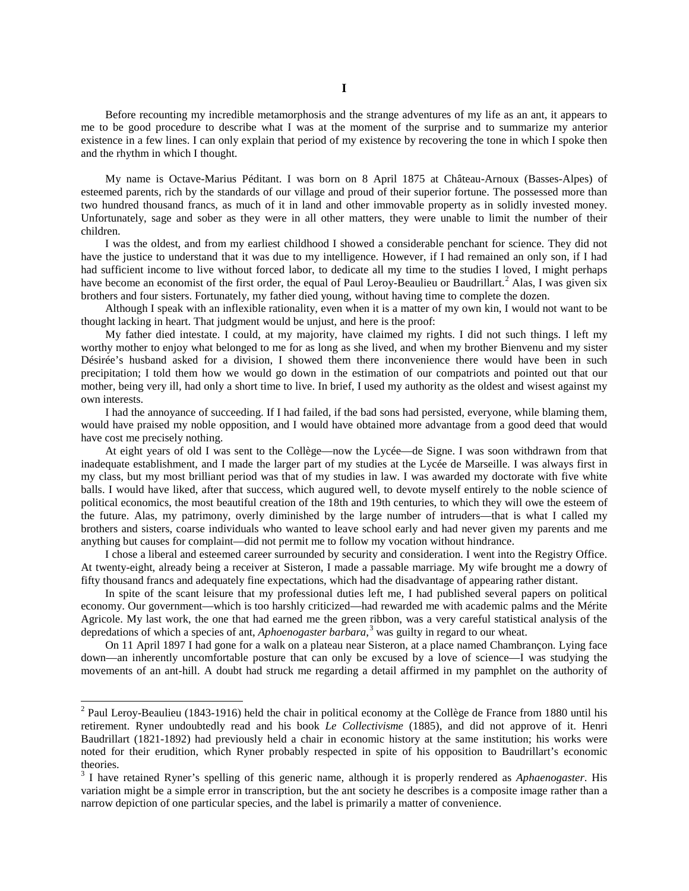Before recounting my incredible metamorphosis and the strange adventures of my life as an ant, it appears to me to be good procedure to describe what I was at the moment of the surprise and to summarize my anterior existence in a few lines. I can only explain that period of my existence by recovering the tone in which I spoke then and the rhythm in which I thought.

My name is Octave-Marius Péditant. I was born on 8 April 1875 at Château-Arnoux (Basses-Alpes) of esteemed parents, rich by the standards of our village and proud of their superior fortune. The possessed more than two hundred thousand francs, as much of it in land and other immovable property as in solidly invested money. Unfortunately, sage and sober as they were in all other matters, they were unable to limit the number of their children.

I was the oldest, and from my earliest childhood I showed a considerable penchant for science. They did not have the justice to understand that it was due to my intelligence. However, if I had remained an only son, if I had had sufficient income to live without forced labor, to dedicate all my time to the studies I loved, I might perhaps have become an economist of the first order, the equal of Paul Leroy-Beaulieu or Baudrillart.<sup>[2](#page-1-0)</sup> Alas, I was given six brothers and four sisters. Fortunately, my father died young, without having time to complete the dozen.

Although I speak with an inflexible rationality, even when it is a matter of my own kin, I would not want to be thought lacking in heart. That judgment would be unjust, and here is the proof:

My father died intestate. I could, at my majority, have claimed my rights. I did not such things. I left my worthy mother to enjoy what belonged to me for as long as she lived, and when my brother Bienvenu and my sister Désirée's husband asked for a division, I showed them there inconvenience there would have been in such precipitation; I told them how we would go down in the estimation of our compatriots and pointed out that our mother, being very ill, had only a short time to live. In brief, I used my authority as the oldest and wisest against my own interests.

I had the annoyance of succeeding. If I had failed, if the bad sons had persisted, everyone, while blaming them, would have praised my noble opposition, and I would have obtained more advantage from a good deed that would have cost me precisely nothing.

At eight years of old I was sent to the Collège—now the Lycée—de Signe. I was soon withdrawn from that inadequate establishment, and I made the larger part of my studies at the Lycée de Marseille. I was always first in my class, but my most brilliant period was that of my studies in law. I was awarded my doctorate with five white balls. I would have liked, after that success, which augured well, to devote myself entirely to the noble science of political economics, the most beautiful creation of the 18th and 19th centuries, to which they will owe the esteem of the future. Alas, my patrimony, overly diminished by the large number of intruders—that is what I called my brothers and sisters, coarse individuals who wanted to leave school early and had never given my parents and me anything but causes for complaint—did not permit me to follow my vocation without hindrance.

I chose a liberal and esteemed career surrounded by security and consideration. I went into the Registry Office. At twenty-eight, already being a receiver at Sisteron, I made a passable marriage. My wife brought me a dowry of fifty thousand francs and adequately fine expectations, which had the disadvantage of appearing rather distant.

In spite of the scant leisure that my professional duties left me, I had published several papers on political economy. Our government—which is too harshly criticized—had rewarded me with academic palms and the Mérite Agricole. My last work, the one that had earned me the green ribbon, was a very careful statistical analysis of the depredations of which a species of ant, *Aphoenogaster barbara*, [3](#page-1-1) was guilty in regard to our wheat.

On 11 April 1897 I had gone for a walk on a plateau near Sisteron, at a place named Chambrançon. Lying face down—an inherently uncomfortable posture that can only be excused by a love of science—I was studying the movements of an ant-hill. A doubt had struck me regarding a detail affirmed in my pamphlet on the authority of

<span id="page-1-0"></span><sup>&</sup>lt;sup>2</sup> Paul Leroy-Beaulieu (1843-1916) held the chair in political economy at the Collège de France from 1880 until his retirement. Ryner undoubtedly read and his book *Le Collectivisme* (1885), and did not approve of it. Henri Baudrillart (1821-1892) had previously held a chair in economic history at the same institution; his works were noted for their erudition, which Ryner probably respected in spite of his opposition to Baudrillart's economic theories.

<span id="page-1-1"></span><sup>3</sup> I have retained Ryner's spelling of this generic name, although it is properly rendered as *Aphaenogaster*. His variation might be a simple error in transcription, but the ant society he describes is a composite image rather than a narrow depiction of one particular species, and the label is primarily a matter of convenience.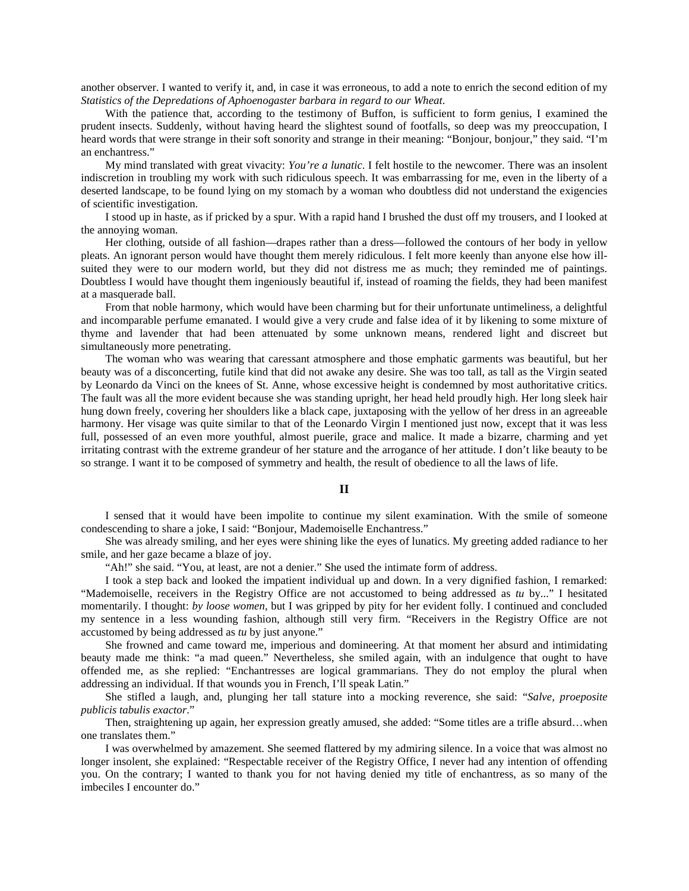another observer. I wanted to verify it, and, in case it was erroneous, to add a note to enrich the second edition of my *Statistics of the Depredations of Aphoenogaster barbara in regard to our Wheat*.

With the patience that, according to the testimony of Buffon, is sufficient to form genius, I examined the prudent insects. Suddenly, without having heard the slightest sound of footfalls, so deep was my preoccupation, I heard words that were strange in their soft sonority and strange in their meaning: "Bonjour, bonjour," they said. "I'm an enchantress."

My mind translated with great vivacity: *You're a lunatic*. I felt hostile to the newcomer. There was an insolent indiscretion in troubling my work with such ridiculous speech. It was embarrassing for me, even in the liberty of a deserted landscape, to be found lying on my stomach by a woman who doubtless did not understand the exigencies of scientific investigation.

I stood up in haste, as if pricked by a spur. With a rapid hand I brushed the dust off my trousers, and I looked at the annoying woman.

Her clothing, outside of all fashion—drapes rather than a dress—followed the contours of her body in yellow pleats. An ignorant person would have thought them merely ridiculous. I felt more keenly than anyone else how illsuited they were to our modern world, but they did not distress me as much; they reminded me of paintings. Doubtless I would have thought them ingeniously beautiful if, instead of roaming the fields, they had been manifest at a masquerade ball.

From that noble harmony, which would have been charming but for their unfortunate untimeliness, a delightful and incomparable perfume emanated. I would give a very crude and false idea of it by likening to some mixture of thyme and lavender that had been attenuated by some unknown means, rendered light and discreet but simultaneously more penetrating.

The woman who was wearing that caressant atmosphere and those emphatic garments was beautiful, but her beauty was of a disconcerting, futile kind that did not awake any desire. She was too tall, as tall as the Virgin seated by Leonardo da Vinci on the knees of St. Anne, whose excessive height is condemned by most authoritative critics. The fault was all the more evident because she was standing upright, her head held proudly high. Her long sleek hair hung down freely, covering her shoulders like a black cape, juxtaposing with the yellow of her dress in an agreeable harmony. Her visage was quite similar to that of the Leonardo Virgin I mentioned just now, except that it was less full, possessed of an even more youthful, almost puerile, grace and malice. It made a bizarre, charming and yet irritating contrast with the extreme grandeur of her stature and the arrogance of her attitude. I don't like beauty to be so strange. I want it to be composed of symmetry and health, the result of obedience to all the laws of life.

## **II**

I sensed that it would have been impolite to continue my silent examination. With the smile of someone condescending to share a joke, I said: "Bonjour, Mademoiselle Enchantress."

She was already smiling, and her eyes were shining like the eyes of lunatics. My greeting added radiance to her smile, and her gaze became a blaze of joy.

"Ah!" she said. "You, at least, are not a denier." She used the intimate form of address.

I took a step back and looked the impatient individual up and down. In a very dignified fashion, I remarked: "Mademoiselle, receivers in the Registry Office are not accustomed to being addressed as *tu* by..." I hesitated momentarily. I thought: *by loose women*, but I was gripped by pity for her evident folly. I continued and concluded my sentence in a less wounding fashion, although still very firm. "Receivers in the Registry Office are not accustomed by being addressed as *tu* by just anyone."

She frowned and came toward me, imperious and domineering. At that moment her absurd and intimidating beauty made me think: "a mad queen." Nevertheless, she smiled again, with an indulgence that ought to have offended me, as she replied: "Enchantresses are logical grammarians. They do not employ the plural when addressing an individual. If that wounds you in French, I'll speak Latin."

She stifled a laugh, and, plunging her tall stature into a mocking reverence, she said: "*Salve, proeposite publicis tabulis exactor*."

Then, straightening up again, her expression greatly amused, she added: "Some titles are a trifle absurd…when one translates them."

I was overwhelmed by amazement. She seemed flattered by my admiring silence. In a voice that was almost no longer insolent, she explained: "Respectable receiver of the Registry Office, I never had any intention of offending you. On the contrary; I wanted to thank you for not having denied my title of enchantress, as so many of the imbeciles I encounter do."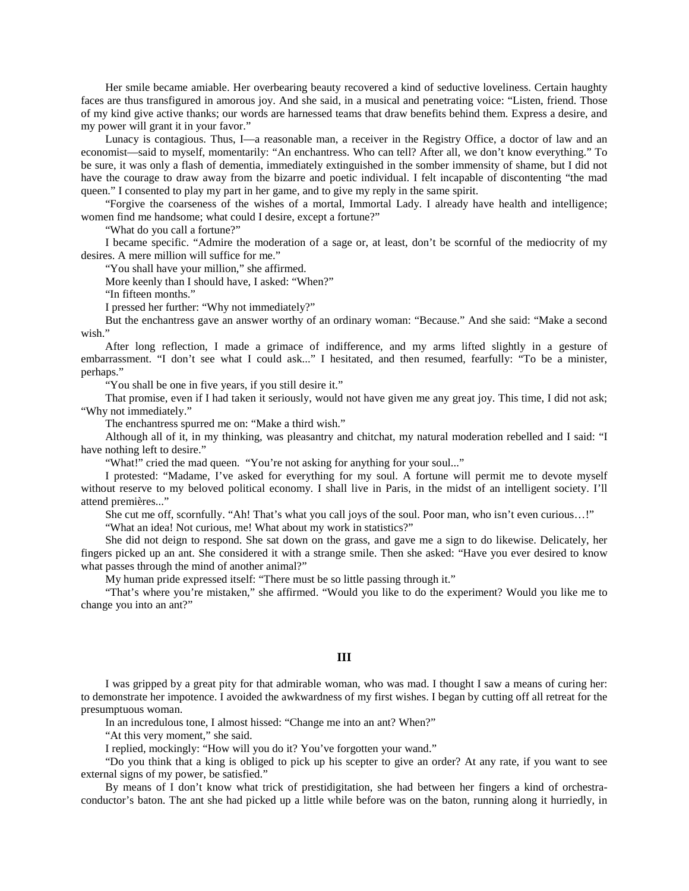Her smile became amiable. Her overbearing beauty recovered a kind of seductive loveliness. Certain haughty faces are thus transfigured in amorous joy. And she said, in a musical and penetrating voice: "Listen, friend. Those of my kind give active thanks; our words are harnessed teams that draw benefits behind them. Express a desire, and my power will grant it in your favor."

Lunacy is contagious. Thus, I—a reasonable man, a receiver in the Registry Office, a doctor of law and an economist—said to myself, momentarily: "An enchantress. Who can tell? After all, we don't know everything." To be sure, it was only a flash of dementia, immediately extinguished in the somber immensity of shame, but I did not have the courage to draw away from the bizarre and poetic individual. I felt incapable of discontenting "the mad queen." I consented to play my part in her game, and to give my reply in the same spirit.

"Forgive the coarseness of the wishes of a mortal, Immortal Lady. I already have health and intelligence; women find me handsome; what could I desire, except a fortune?"

"What do you call a fortune?"

I became specific. "Admire the moderation of a sage or, at least, don't be scornful of the mediocrity of my desires. A mere million will suffice for me."

"You shall have your million," she affirmed.

More keenly than I should have, I asked: "When?"

"In fifteen months."

I pressed her further: "Why not immediately?"

But the enchantress gave an answer worthy of an ordinary woman: "Because." And she said: "Make a second wish."

After long reflection, I made a grimace of indifference, and my arms lifted slightly in a gesture of embarrassment. "I don't see what I could ask..." I hesitated, and then resumed, fearfully: "To be a minister, perhaps."

"You shall be one in five years, if you still desire it."

That promise, even if I had taken it seriously, would not have given me any great joy. This time, I did not ask; "Why not immediately."

The enchantress spurred me on: "Make a third wish."

Although all of it, in my thinking, was pleasantry and chitchat, my natural moderation rebelled and I said: "I have nothing left to desire."

"What!" cried the mad queen. "You're not asking for anything for your soul..."

I protested: "Madame, I've asked for everything for my soul. A fortune will permit me to devote myself without reserve to my beloved political economy. I shall live in Paris, in the midst of an intelligent society. I'll attend premières..."

She cut me off, scornfully. "Ah! That's what you call joys of the soul. Poor man, who isn't even curious…!"

"What an idea! Not curious, me! What about my work in statistics?"

She did not deign to respond. She sat down on the grass, and gave me a sign to do likewise. Delicately, her fingers picked up an ant. She considered it with a strange smile. Then she asked: "Have you ever desired to know what passes through the mind of another animal?"

My human pride expressed itself: "There must be so little passing through it."

"That's where you're mistaken," she affirmed. "Would you like to do the experiment? Would you like me to change you into an ant?"

## **III**

I was gripped by a great pity for that admirable woman, who was mad. I thought I saw a means of curing her: to demonstrate her impotence. I avoided the awkwardness of my first wishes. I began by cutting off all retreat for the presumptuous woman.

In an incredulous tone, I almost hissed: "Change me into an ant? When?"

"At this very moment," she said.

I replied, mockingly: "How will you do it? You've forgotten your wand."

"Do you think that a king is obliged to pick up his scepter to give an order? At any rate, if you want to see external signs of my power, be satisfied."

By means of I don't know what trick of prestidigitation, she had between her fingers a kind of orchestraconductor's baton. The ant she had picked up a little while before was on the baton, running along it hurriedly, in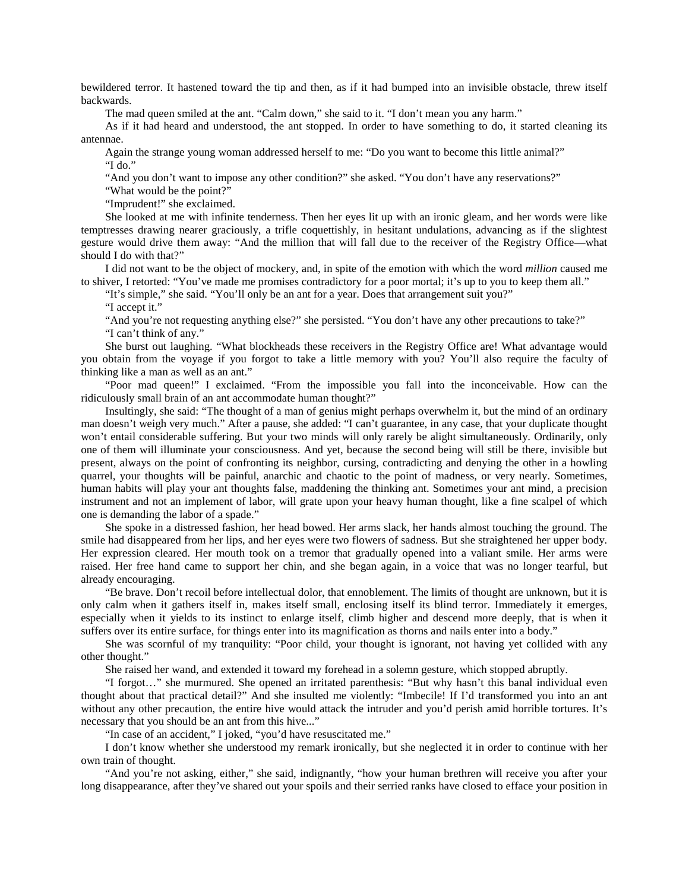bewildered terror. It hastened toward the tip and then, as if it had bumped into an invisible obstacle, threw itself backwards.

The mad queen smiled at the ant. "Calm down," she said to it. "I don't mean you any harm."

As if it had heard and understood, the ant stopped. In order to have something to do, it started cleaning its antennae.

Again the strange young woman addressed herself to me: "Do you want to become this little animal?" "I do."

"And you don't want to impose any other condition?" she asked. "You don't have any reservations?"

"What would be the point?"

"Imprudent!" she exclaimed.

She looked at me with infinite tenderness. Then her eyes lit up with an ironic gleam, and her words were like temptresses drawing nearer graciously, a trifle coquettishly, in hesitant undulations, advancing as if the slightest gesture would drive them away: "And the million that will fall due to the receiver of the Registry Office—what should I do with that?"

I did not want to be the object of mockery, and, in spite of the emotion with which the word *million* caused me to shiver, I retorted: "You've made me promises contradictory for a poor mortal; it's up to you to keep them all."

"It's simple," she said. "You'll only be an ant for a year. Does that arrangement suit you?"

"I accept it."

"And you're not requesting anything else?" she persisted. "You don't have any other precautions to take?" "I can't think of any."

She burst out laughing. "What blockheads these receivers in the Registry Office are! What advantage would you obtain from the voyage if you forgot to take a little memory with you? You'll also require the faculty of thinking like a man as well as an ant."

"Poor mad queen!" I exclaimed. "From the impossible you fall into the inconceivable. How can the ridiculously small brain of an ant accommodate human thought?"

Insultingly, she said: "The thought of a man of genius might perhaps overwhelm it, but the mind of an ordinary man doesn't weigh very much." After a pause, she added: "I can't guarantee, in any case, that your duplicate thought won't entail considerable suffering. But your two minds will only rarely be alight simultaneously. Ordinarily, only one of them will illuminate your consciousness. And yet, because the second being will still be there, invisible but present, always on the point of confronting its neighbor, cursing, contradicting and denying the other in a howling quarrel, your thoughts will be painful, anarchic and chaotic to the point of madness, or very nearly. Sometimes, human habits will play your ant thoughts false, maddening the thinking ant. Sometimes your ant mind, a precision instrument and not an implement of labor, will grate upon your heavy human thought, like a fine scalpel of which one is demanding the labor of a spade."

She spoke in a distressed fashion, her head bowed. Her arms slack, her hands almost touching the ground. The smile had disappeared from her lips, and her eyes were two flowers of sadness. But she straightened her upper body. Her expression cleared. Her mouth took on a tremor that gradually opened into a valiant smile. Her arms were raised. Her free hand came to support her chin, and she began again, in a voice that was no longer tearful, but already encouraging.

"Be brave. Don't recoil before intellectual dolor, that ennoblement. The limits of thought are unknown, but it is only calm when it gathers itself in, makes itself small, enclosing itself its blind terror. Immediately it emerges, especially when it yields to its instinct to enlarge itself, climb higher and descend more deeply, that is when it suffers over its entire surface, for things enter into its magnification as thorns and nails enter into a body."

She was scornful of my tranquility: "Poor child, your thought is ignorant, not having yet collided with any other thought."

She raised her wand, and extended it toward my forehead in a solemn gesture, which stopped abruptly.

"I forgot…" she murmured. She opened an irritated parenthesis: "But why hasn't this banal individual even thought about that practical detail?" And she insulted me violently: "Imbecile! If I'd transformed you into an ant without any other precaution, the entire hive would attack the intruder and you'd perish amid horrible tortures. It's necessary that you should be an ant from this hive..."

"In case of an accident," I joked, "you'd have resuscitated me."

I don't know whether she understood my remark ironically, but she neglected it in order to continue with her own train of thought.

"And you're not asking, either," she said, indignantly, "how your human brethren will receive you after your long disappearance, after they've shared out your spoils and their serried ranks have closed to efface your position in